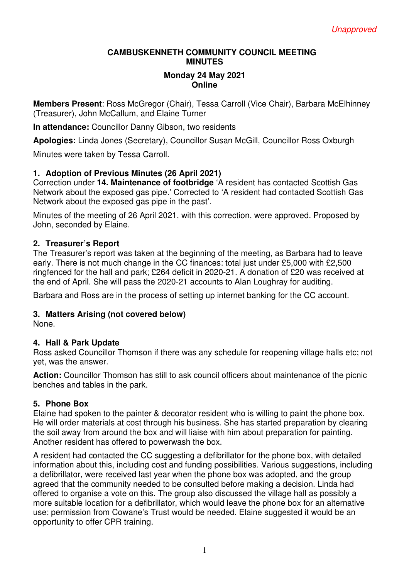#### **CAMBUSKENNETH COMMUNITY COUNCIL MEETING MINUTES**

#### **Monday 24 May 2021 Online**

**Members Present**: Ross McGregor (Chair), Tessa Carroll (Vice Chair), Barbara McElhinney (Treasurer), John McCallum, and Elaine Turner

**In attendance:** Councillor Danny Gibson, two residents

**Apologies:** Linda Jones (Secretary), Councillor Susan McGill, Councillor Ross Oxburgh

Minutes were taken by Tessa Carroll.

## **1. Adoption of Previous Minutes (26 April 2021)**

Correction under **14. Maintenance of footbridge** 'A resident has contacted Scottish Gas Network about the exposed gas pipe.' Corrected to 'A resident had contacted Scottish Gas Network about the exposed gas pipe in the past'.

Minutes of the meeting of 26 April 2021, with this correction, were approved. Proposed by John, seconded by Elaine.

#### **2. Treasurer's Report**

The Treasurer's report was taken at the beginning of the meeting, as Barbara had to leave early. There is not much change in the CC finances: total just under £5,000 with £2,500 ringfenced for the hall and park; £264 deficit in 2020-21. A donation of £20 was received at the end of April. She will pass the 2020-21 accounts to Alan Loughray for auditing.

Barbara and Ross are in the process of setting up internet banking for the CC account.

## **3. Matters Arising (not covered below)**

None.

#### **4. Hall & Park Update**

Ross asked Councillor Thomson if there was any schedule for reopening village halls etc; not yet, was the answer.

**Action:** Councillor Thomson has still to ask council officers about maintenance of the picnic benches and tables in the park.

#### **5. Phone Box**

Elaine had spoken to the painter & decorator resident who is willing to paint the phone box. He will order materials at cost through his business. She has started preparation by clearing the soil away from around the box and will liaise with him about preparation for painting. Another resident has offered to powerwash the box.

A resident had contacted the CC suggesting a defibrillator for the phone box, with detailed information about this, including cost and funding possibilities. Various suggestions, including a defibrillator, were received last year when the phone box was adopted, and the group agreed that the community needed to be consulted before making a decision. Linda had offered to organise a vote on this. The group also discussed the village hall as possibly a more suitable location for a defibrillator, which would leave the phone box for an alternative use; permission from Cowane's Trust would be needed. Elaine suggested it would be an opportunity to offer CPR training.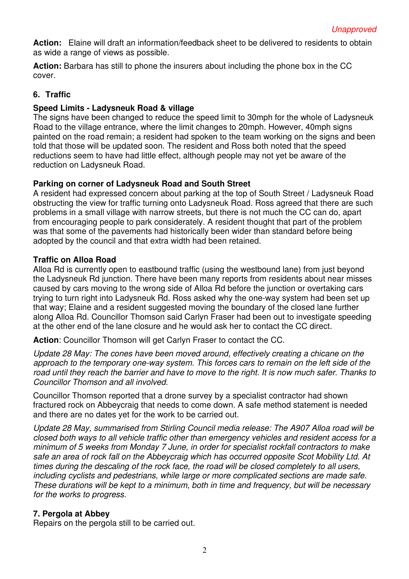**Action:** Elaine will draft an information/feedback sheet to be delivered to residents to obtain as wide a range of views as possible.

**Action:** Barbara has still to phone the insurers about including the phone box in the CC cover.

# **6. Traffic**

# **Speed Limits - Ladysneuk Road & village**

The signs have been changed to reduce the speed limit to 30mph for the whole of Ladysneuk Road to the village entrance, where the limit changes to 20mph. However, 40mph signs painted on the road remain; a resident had spoken to the team working on the signs and been told that those will be updated soon. The resident and Ross both noted that the speed reductions seem to have had little effect, although people may not yet be aware of the reduction on Ladysneuk Road.

# **Parking on corner of Ladysneuk Road and South Street**

A resident had expressed concern about parking at the top of South Street / Ladysneuk Road obstructing the view for traffic turning onto Ladysneuk Road. Ross agreed that there are such problems in a small village with narrow streets, but there is not much the CC can do, apart from encouraging people to park considerately. A resident thought that part of the problem was that some of the pavements had historically been wider than standard before being adopted by the council and that extra width had been retained.

## **Traffic on Alloa Road**

Alloa Rd is currently open to eastbound traffic (using the westbound lane) from just beyond the Ladysneuk Rd junction. There have been many reports from residents about near misses caused by cars moving to the wrong side of Alloa Rd before the junction or overtaking cars trying to turn right into Ladysneuk Rd. Ross asked why the one-way system had been set up that way; Elaine and a resident suggested moving the boundary of the closed lane further along Alloa Rd. Councillor Thomson said Carlyn Fraser had been out to investigate speeding at the other end of the lane closure and he would ask her to contact the CC direct.

**Action**: Councillor Thomson will get Carlyn Fraser to contact the CC.

*Update 28 May: The cones have been moved around, effectively creating a chicane on the approach to the temporary one-way system. This forces cars to remain on the left side of the road until they reach the barrier and have to move to the right. It is now much safer. Thanks to Councillor Thomson and all involved.* 

Councillor Thomson reported that a drone survey by a specialist contractor had shown fractured rock on Abbeycraig that needs to come down. A safe method statement is needed and there are no dates yet for the work to be carried out.

*Update 28 May, summarised from Stirling Council media release: The A907 Alloa road will be closed both ways to all vehicle traffic other than emergency vehicles and resident access for a minimum of 5 weeks from Monday 7 June, in order for specialist rockfall contractors to make safe an area of rock fall on the Abbeycraig which has occurred opposite Scot Mobility Ltd. At times during the descaling of the rock face, the road will be closed completely to all users, including cyclists and pedestrians, while large or more complicated sections are made safe. These durations will be kept to a minimum, both in time and frequency, but will be necessary for the works to progress.* 

## **7. Pergola at Abbey**

Repairs on the pergola still to be carried out.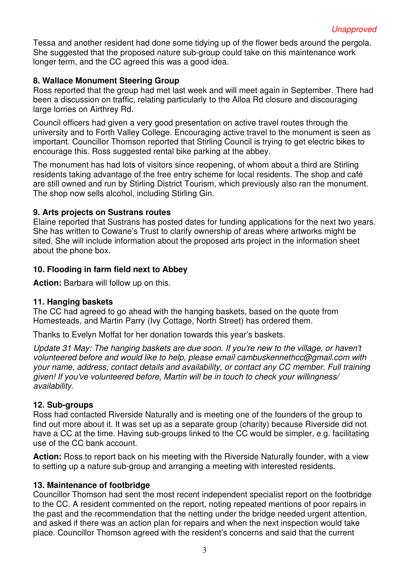Tessa and another resident had done some tidying up of the flower beds around the pergola. She suggested that the proposed nature sub-group could take on this maintenance work longer term, and the CC agreed this was a good idea.

# **8. Wallace Monument Steering Group**

Ross reported that the group had met last week and will meet again in September. There had been a discussion on traffic, relating particularly to the Alloa Rd closure and discouraging large lorries on Airthrey Rd.

Council officers had given a very good presentation on active travel routes through the university and to Forth Valley College. Encouraging active travel to the monument is seen as important. Councillor Thomson reported that Stirling Council is trying to get electric bikes to encourage this. Ross suggested rental bike parking at the abbey.

The monument has had lots of visitors since reopening, of whom about a third are Stirling residents taking advantage of the free entry scheme for local residents. The shop and café are still owned and run by Stirling District Tourism, which previously also ran the monument. The shop now sells alcohol, including Stirling Gin.

## **9. Arts projects on Sustrans routes**

Elaine reported that Sustrans has posted dates for funding applications for the next two years. She has written to Cowane's Trust to clarify ownership of areas where artworks might be sited. She will include information about the proposed arts project in the information sheet about the phone box.

## **10. Flooding in farm field next to Abbey**

**Action:** Barbara will follow up on this.

## **11. Hanging baskets**

The CC had agreed to go ahead with the hanging baskets, based on the quote from Homesteads, and Martin Parry (Ivy Cottage, North Street) has ordered them.

Thanks to Evelyn Moffat for her donation towards this year's baskets.

*Update 31 May: The hanging baskets are due soon. If you're new to the village, or haven't volunteered before and would like to help, please email cambuskennethcc@gmail.com with your name, address, contact details and availability, or contact any CC member. Full training given! If you've volunteered before, Martin will be in touch to check your willingness/ availability.* 

## **12. Sub-groups**

Ross had contacted Riverside Naturally and is meeting one of the founders of the group to find out more about it. It was set up as a separate group (charity) because Riverside did not have a CC at the time. Having sub-groups linked to the CC would be simpler, e.g. facilitating use of the CC bank account.

**Action:** Ross to report back on his meeting with the Riverside Naturally founder, with a view to setting up a nature sub-group and arranging a meeting with interested residents.

## **13. Maintenance of footbridge**

Councillor Thomson had sent the most recent independent specialist report on the footbridge to the CC. A resident commented on the report, noting repeated mentions of poor repairs in the past and the recommendation that the netting under the bridge needed urgent attention, and asked if there was an action plan for repairs and when the next inspection would take place. Councillor Thomson agreed with the resident's concerns and said that the current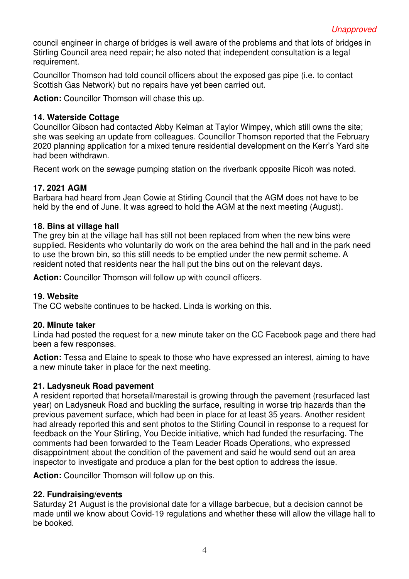council engineer in charge of bridges is well aware of the problems and that lots of bridges in Stirling Council area need repair; he also noted that independent consultation is a legal requirement.

Councillor Thomson had told council officers about the exposed gas pipe (i.e. to contact Scottish Gas Network) but no repairs have yet been carried out.

**Action:** Councillor Thomson will chase this up.

#### **14. Waterside Cottage**

Councillor Gibson had contacted Abby Kelman at Taylor Wimpey, which still owns the site; she was seeking an update from colleagues. Councillor Thomson reported that the February 2020 planning application for a mixed tenure residential development on the Kerr's Yard site had been withdrawn.

Recent work on the sewage pumping station on the riverbank opposite Ricoh was noted.

## **17. 2021 AGM**

Barbara had heard from Jean Cowie at Stirling Council that the AGM does not have to be held by the end of June. It was agreed to hold the AGM at the next meeting (August).

#### **18. Bins at village hall**

The grey bin at the village hall has still not been replaced from when the new bins were supplied. Residents who voluntarily do work on the area behind the hall and in the park need to use the brown bin, so this still needs to be emptied under the new permit scheme. A resident noted that residents near the hall put the bins out on the relevant days.

**Action:** Councillor Thomson will follow up with council officers.

## **19. Website**

The CC website continues to be hacked. Linda is working on this.

#### **20. Minute taker**

Linda had posted the request for a new minute taker on the CC Facebook page and there had been a few responses.

**Action:** Tessa and Elaine to speak to those who have expressed an interest, aiming to have a new minute taker in place for the next meeting.

## **21. Ladysneuk Road pavement**

A resident reported that horsetail/marestail is growing through the pavement (resurfaced last year) on Ladysneuk Road and buckling the surface, resulting in worse trip hazards than the previous pavement surface, which had been in place for at least 35 years. Another resident had already reported this and sent photos to the Stirling Council in response to a request for feedback on the Your Stirling, You Decide initiative, which had funded the resurfacing. The comments had been forwarded to the Team Leader Roads Operations, who expressed disappointment about the condition of the pavement and said he would send out an area inspector to investigate and produce a plan for the best option to address the issue.

**Action:** Councillor Thomson will follow up on this.

## **22. Fundraising/events**

Saturday 21 August is the provisional date for a village barbecue, but a decision cannot be made until we know about Covid-19 regulations and whether these will allow the village hall to be booked.